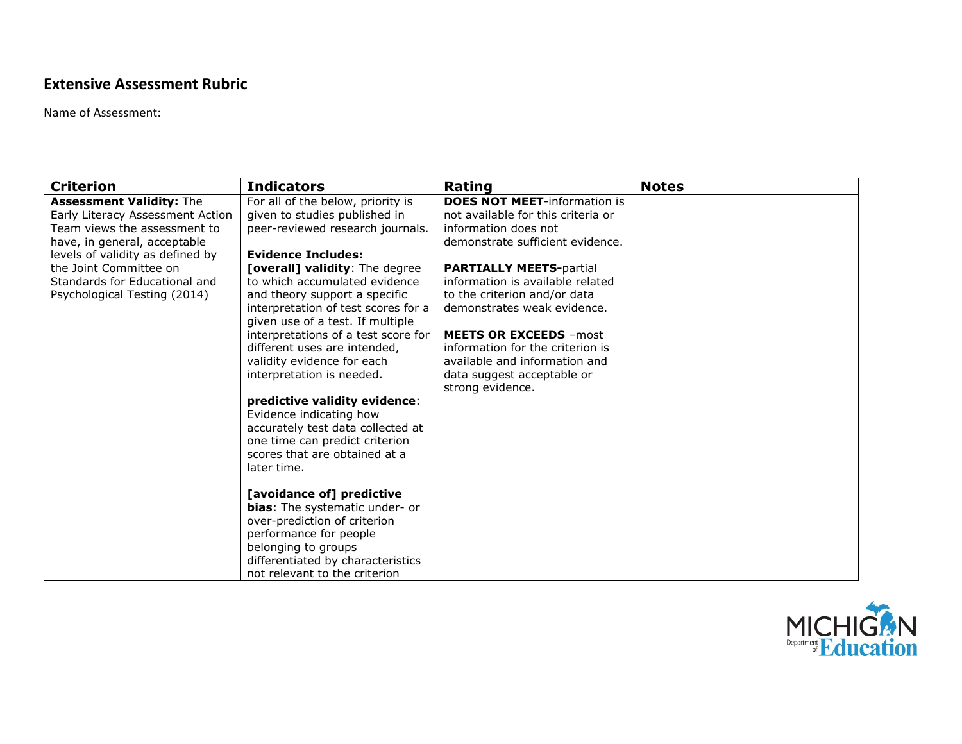## **Extensive Assessment Rubric**

Name of Assessment:

| <b>Criterion</b>                                                                                                                                                                                                                                                   | <b>Indicators</b>                                                                                                                                                                                                                                                                                                                                                                                                                                                                                                                                                                                                                              | Rating                                                                                                                                                                                                                                                                                                                                                                                                                              | <b>Notes</b> |
|--------------------------------------------------------------------------------------------------------------------------------------------------------------------------------------------------------------------------------------------------------------------|------------------------------------------------------------------------------------------------------------------------------------------------------------------------------------------------------------------------------------------------------------------------------------------------------------------------------------------------------------------------------------------------------------------------------------------------------------------------------------------------------------------------------------------------------------------------------------------------------------------------------------------------|-------------------------------------------------------------------------------------------------------------------------------------------------------------------------------------------------------------------------------------------------------------------------------------------------------------------------------------------------------------------------------------------------------------------------------------|--------------|
| <b>Assessment Validity: The</b><br>Early Literacy Assessment Action<br>Team views the assessment to<br>have, in general, acceptable<br>levels of validity as defined by<br>the Joint Committee on<br>Standards for Educational and<br>Psychological Testing (2014) | For all of the below, priority is<br>given to studies published in<br>peer-reviewed research journals.<br><b>Evidence Includes:</b><br><b>[overall] validity:</b> The degree<br>to which accumulated evidence<br>and theory support a specific<br>interpretation of test scores for a<br>given use of a test. If multiple<br>interpretations of a test score for<br>different uses are intended,<br>validity evidence for each<br>interpretation is needed.<br>predictive validity evidence:<br>Evidence indicating how<br>accurately test data collected at<br>one time can predict criterion<br>scores that are obtained at a<br>later time. | <b>DOES NOT MEET-information is</b><br>not available for this criteria or<br>information does not<br>demonstrate sufficient evidence.<br><b>PARTIALLY MEETS-partial</b><br>information is available related<br>to the criterion and/or data<br>demonstrates weak evidence.<br><b>MEETS OR EXCEEDS - most</b><br>information for the criterion is<br>available and information and<br>data suggest acceptable or<br>strong evidence. |              |
|                                                                                                                                                                                                                                                                    | [avoidance of] predictive<br>bias: The systematic under- or<br>over-prediction of criterion<br>performance for people<br>belonging to groups<br>differentiated by characteristics<br>not relevant to the criterion                                                                                                                                                                                                                                                                                                                                                                                                                             |                                                                                                                                                                                                                                                                                                                                                                                                                                     |              |

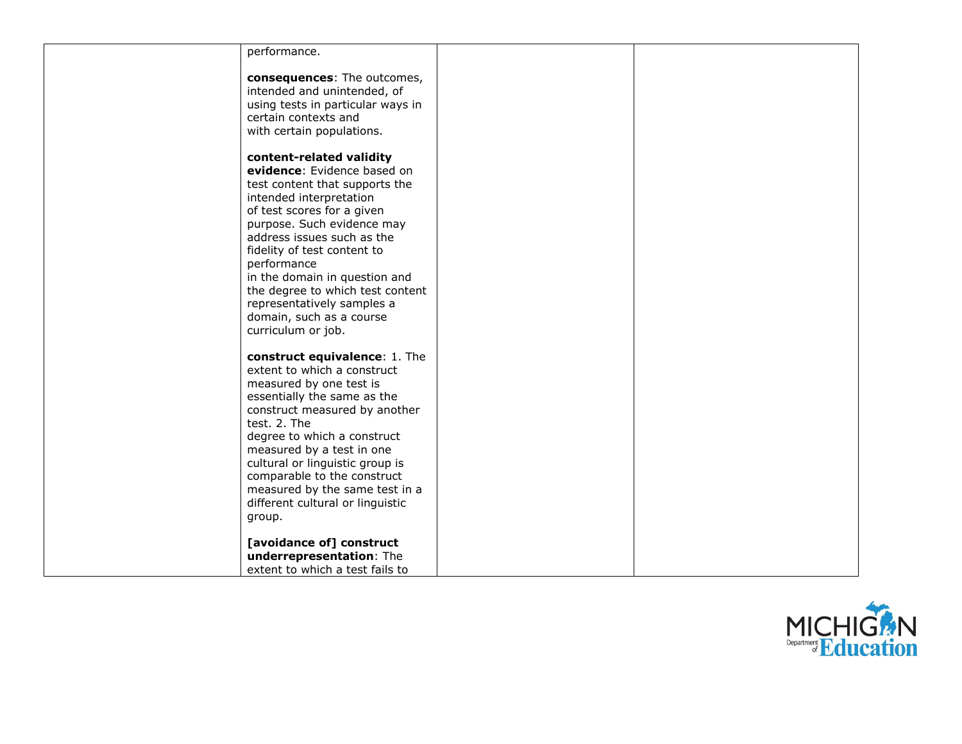| performance.                                 |  |
|----------------------------------------------|--|
| consequences: The outcomes,                  |  |
| intended and unintended, of                  |  |
| using tests in particular ways in            |  |
| certain contexts and                         |  |
| with certain populations.                    |  |
|                                              |  |
| content-related validity                     |  |
| evidence: Evidence based on                  |  |
| test content that supports the               |  |
| intended interpretation                      |  |
| of test scores for a given                   |  |
| purpose. Such evidence may                   |  |
| address issues such as the                   |  |
| fidelity of test content to                  |  |
| performance<br>in the domain in question and |  |
| the degree to which test content             |  |
| representatively samples a                   |  |
| domain, such as a course                     |  |
| curriculum or job.                           |  |
|                                              |  |
| construct equivalence: 1. The                |  |
| extent to which a construct                  |  |
| measured by one test is                      |  |
| essentially the same as the                  |  |
| construct measured by another                |  |
| test. 2. The                                 |  |
| degree to which a construct                  |  |
| measured by a test in one                    |  |
| cultural or linguistic group is              |  |
| comparable to the construct                  |  |
| measured by the same test in a               |  |
| different cultural or linguistic             |  |
| group.                                       |  |
| [avoidance of] construct                     |  |
| underrepresentation: The                     |  |
| extent to which a test fails to              |  |
|                                              |  |

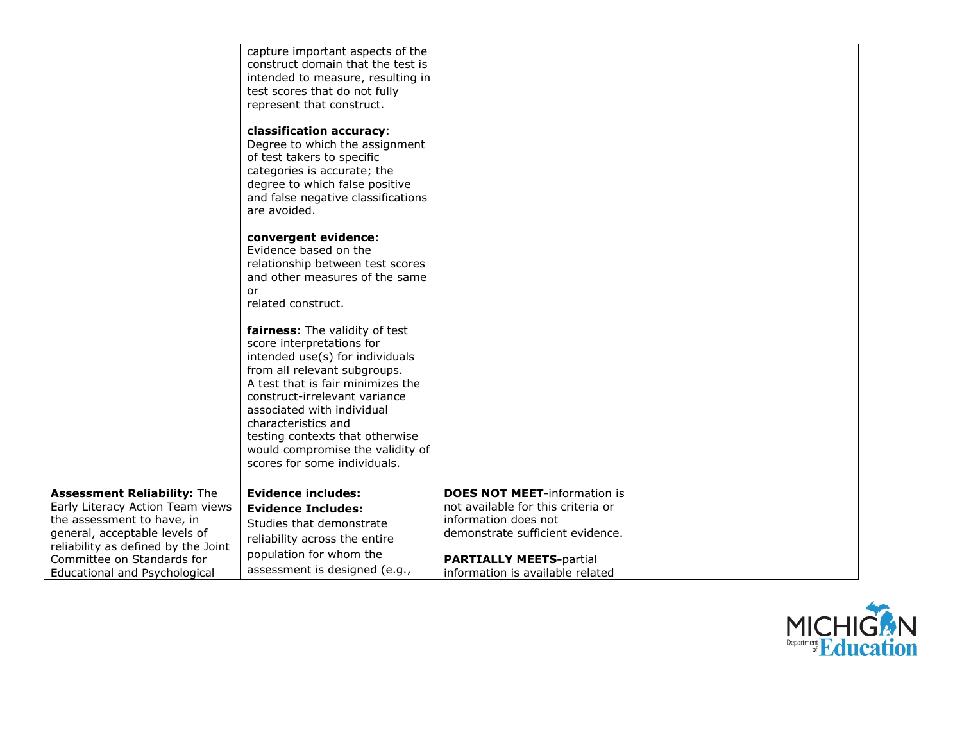|                                                                                                                                                                              | capture important aspects of the<br>construct domain that the test is<br>intended to measure, resulting in<br>test scores that do not fully<br>represent that construct.<br>classification accuracy:<br>Degree to which the assignment<br>of test takers to specific<br>categories is accurate; the<br>degree to which false positive<br>and false negative classifications<br>are avoided. |                                                                                                                                       |  |
|------------------------------------------------------------------------------------------------------------------------------------------------------------------------------|---------------------------------------------------------------------------------------------------------------------------------------------------------------------------------------------------------------------------------------------------------------------------------------------------------------------------------------------------------------------------------------------|---------------------------------------------------------------------------------------------------------------------------------------|--|
|                                                                                                                                                                              | convergent evidence:<br>Evidence based on the<br>relationship between test scores<br>and other measures of the same<br>or<br>related construct.                                                                                                                                                                                                                                             |                                                                                                                                       |  |
|                                                                                                                                                                              | fairness: The validity of test<br>score interpretations for<br>intended use(s) for individuals<br>from all relevant subgroups.<br>A test that is fair minimizes the<br>construct-irrelevant variance<br>associated with individual<br>characteristics and<br>testing contexts that otherwise<br>would compromise the validity of<br>scores for some individuals.                            |                                                                                                                                       |  |
| <b>Assessment Reliability: The</b><br>Early Literacy Action Team views<br>the assessment to have, in<br>general, acceptable levels of<br>reliability as defined by the Joint | <b>Evidence includes:</b><br><b>Evidence Includes:</b><br>Studies that demonstrate<br>reliability across the entire<br>population for whom the                                                                                                                                                                                                                                              | <b>DOES NOT MEET-information is</b><br>not available for this criteria or<br>information does not<br>demonstrate sufficient evidence. |  |
| Committee on Standards for<br>Educational and Psychological                                                                                                                  | assessment is designed (e.g.,                                                                                                                                                                                                                                                                                                                                                               | <b>PARTIALLY MEETS-partial</b><br>information is available related                                                                    |  |

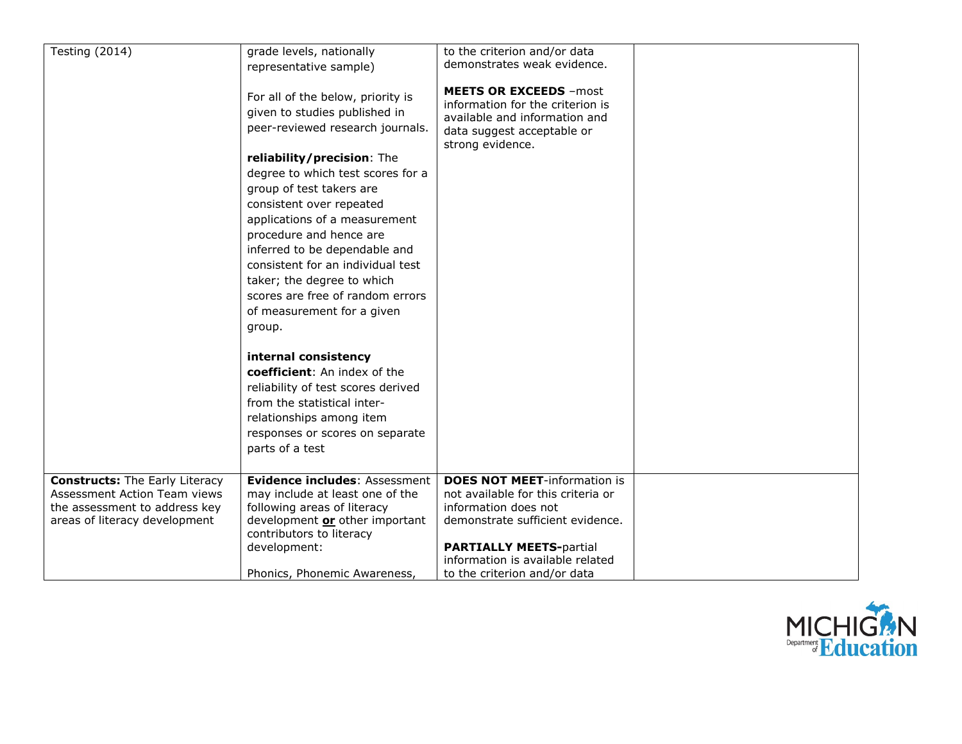| <b>Testing (2014)</b>                                                                                                                   | grade levels, nationally<br>representative sample)<br>For all of the below, priority is<br>given to studies published in<br>peer-reviewed research journals.<br>reliability/precision: The<br>degree to which test scores for a<br>group of test takers are<br>consistent over repeated<br>applications of a measurement<br>procedure and hence are<br>inferred to be dependable and<br>consistent for an individual test<br>taker; the degree to which<br>scores are free of random errors<br>of measurement for a given<br>group. | to the criterion and/or data<br>demonstrates weak evidence.<br><b>MEETS OR EXCEEDS - most</b><br>information for the criterion is<br>available and information and<br>data suggest acceptable or<br>strong evidence.                        |  |
|-----------------------------------------------------------------------------------------------------------------------------------------|-------------------------------------------------------------------------------------------------------------------------------------------------------------------------------------------------------------------------------------------------------------------------------------------------------------------------------------------------------------------------------------------------------------------------------------------------------------------------------------------------------------------------------------|---------------------------------------------------------------------------------------------------------------------------------------------------------------------------------------------------------------------------------------------|--|
|                                                                                                                                         | internal consistency<br>coefficient: An index of the<br>reliability of test scores derived<br>from the statistical inter-<br>relationships among item<br>responses or scores on separate<br>parts of a test                                                                                                                                                                                                                                                                                                                         |                                                                                                                                                                                                                                             |  |
| <b>Constructs:</b> The Early Literacy<br>Assessment Action Team views<br>the assessment to address key<br>areas of literacy development | Evidence includes: Assessment<br>may include at least one of the<br>following areas of literacy<br>development or other important<br>contributors to literacy<br>development:<br>Phonics, Phonemic Awareness,                                                                                                                                                                                                                                                                                                                       | <b>DOES NOT MEET-information is</b><br>not available for this criteria or<br>information does not<br>demonstrate sufficient evidence.<br><b>PARTIALLY MEETS-partial</b><br>information is available related<br>to the criterion and/or data |  |